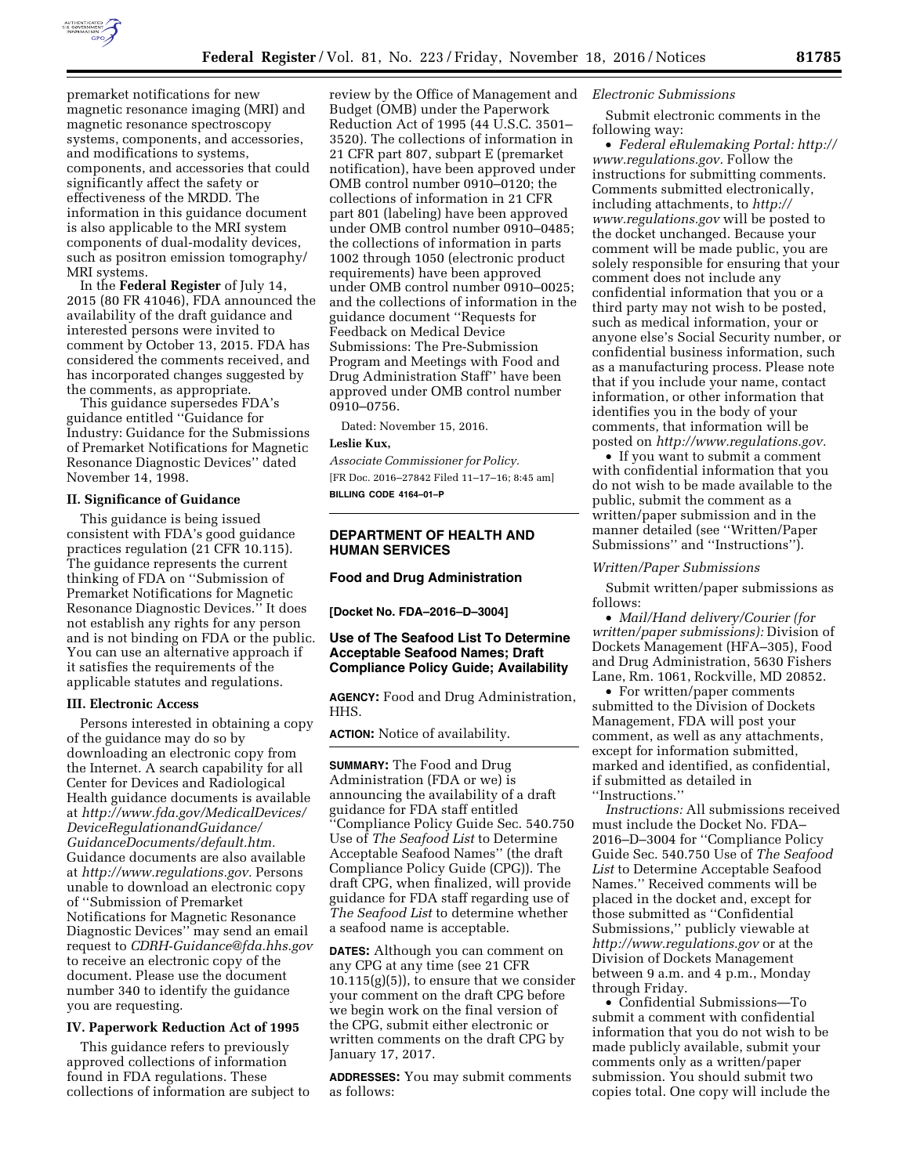

premarket notifications for new magnetic resonance imaging (MRI) and magnetic resonance spectroscopy systems, components, and accessories, and modifications to systems, components, and accessories that could significantly affect the safety or effectiveness of the MRDD. The information in this guidance document is also applicable to the MRI system components of dual-modality devices, such as positron emission tomography/ MRI systems.

In the **Federal Register** of July 14, 2015 (80 FR 41046), FDA announced the availability of the draft guidance and interested persons were invited to comment by October 13, 2015. FDA has considered the comments received, and has incorporated changes suggested by the comments, as appropriate.

This guidance supersedes FDA's guidance entitled ''Guidance for Industry: Guidance for the Submissions of Premarket Notifications for Magnetic Resonance Diagnostic Devices'' dated November 14, 1998.

### **II. Significance of Guidance**

This guidance is being issued consistent with FDA's good guidance practices regulation (21 CFR 10.115). The guidance represents the current thinking of FDA on ''Submission of Premarket Notifications for Magnetic Resonance Diagnostic Devices.'' It does not establish any rights for any person and is not binding on FDA or the public. You can use an alternative approach if it satisfies the requirements of the applicable statutes and regulations.

# **III. Electronic Access**

Persons interested in obtaining a copy of the guidance may do so by downloading an electronic copy from the Internet. A search capability for all Center for Devices and Radiological Health guidance documents is available at *[http://www.fda.gov/MedicalDevices/](http://www.fda.gov/MedicalDevices/DeviceRegulationandGuidance/GuidanceDocuments/default.htm) [DeviceRegulationandGuidance/](http://www.fda.gov/MedicalDevices/DeviceRegulationandGuidance/GuidanceDocuments/default.htm)  [GuidanceDocuments/default.htm.](http://www.fda.gov/MedicalDevices/DeviceRegulationandGuidance/GuidanceDocuments/default.htm)*  Guidance documents are also available at *[http://www.regulations.gov.](http://www.regulations.gov)* Persons unable to download an electronic copy of ''Submission of Premarket Notifications for Magnetic Resonance Diagnostic Devices'' may send an email request to *[CDRH-Guidance@fda.hhs.gov](mailto:CDRH-Guidance@fda.hhs.gov)*  to receive an electronic copy of the document. Please use the document number 340 to identify the guidance you are requesting.

### **IV. Paperwork Reduction Act of 1995**

This guidance refers to previously approved collections of information found in FDA regulations. These collections of information are subject to

review by the Office of Management and Budget (OMB) under the Paperwork Reduction Act of 1995 (44 U.S.C. 3501– 3520). The collections of information in 21 CFR part 807, subpart E (premarket notification), have been approved under OMB control number 0910–0120; the collections of information in 21 CFR part 801 (labeling) have been approved under OMB control number 0910–0485; the collections of information in parts 1002 through 1050 (electronic product requirements) have been approved under OMB control number 0910–0025; and the collections of information in the guidance document ''Requests for Feedback on Medical Device Submissions: The Pre-Submission Program and Meetings with Food and Drug Administration Staff'' have been approved under OMB control number 0910–0756.

Dated: November 15, 2016.

## **Leslie Kux,**

*Associate Commissioner for Policy.*  [FR Doc. 2016–27842 Filed 11–17–16; 8:45 am] **BILLING CODE 4164–01–P** 

# **DEPARTMENT OF HEALTH AND HUMAN SERVICES**

## **Food and Drug Administration**

**[Docket No. FDA–2016–D–3004]** 

# **Use of The Seafood List To Determine Acceptable Seafood Names; Draft Compliance Policy Guide; Availability**

**AGENCY:** Food and Drug Administration, HHS.

**ACTION:** Notice of availability.

**SUMMARY:** The Food and Drug Administration (FDA or we) is announcing the availability of a draft guidance for FDA staff entitled ''Compliance Policy Guide Sec. 540.750 Use of *The Seafood List* to Determine Acceptable Seafood Names'' (the draft Compliance Policy Guide (CPG)). The draft CPG, when finalized, will provide guidance for FDA staff regarding use of *The Seafood List* to determine whether a seafood name is acceptable.

**DATES:** Although you can comment on any CPG at any time (see 21 CFR 10.115(g)(5)), to ensure that we consider your comment on the draft CPG before we begin work on the final version of the CPG, submit either electronic or written comments on the draft CPG by January 17, 2017.

**ADDRESSES:** You may submit comments as follows:

## *Electronic Submissions*

Submit electronic comments in the following way:

• *Federal eRulemaking Portal: [http://](http://www.regulations.gov)  [www.regulations.gov.](http://www.regulations.gov)* Follow the instructions for submitting comments. Comments submitted electronically, including attachments, to *[http://](http://www.regulations.gov) [www.regulations.gov](http://www.regulations.gov)* will be posted to the docket unchanged. Because your comment will be made public, you are solely responsible for ensuring that your comment does not include any confidential information that you or a third party may not wish to be posted, such as medical information, your or anyone else's Social Security number, or confidential business information, such as a manufacturing process. Please note that if you include your name, contact information, or other information that identifies you in the body of your comments, that information will be posted on *[http://www.regulations.gov.](http://www.regulations.gov)* 

• If you want to submit a comment with confidential information that you do not wish to be made available to the public, submit the comment as a written/paper submission and in the manner detailed (see ''Written/Paper Submissions'' and ''Instructions'').

#### *Written/Paper Submissions*

Submit written/paper submissions as follows:

• *Mail/Hand delivery/Courier (for written/paper submissions):* Division of Dockets Management (HFA–305), Food and Drug Administration, 5630 Fishers Lane, Rm. 1061, Rockville, MD 20852.

• For written/paper comments submitted to the Division of Dockets Management, FDA will post your comment, as well as any attachments, except for information submitted, marked and identified, as confidential, if submitted as detailed in ''Instructions.''

*Instructions:* All submissions received must include the Docket No. FDA– 2016–D–3004 for ''Compliance Policy Guide Sec. 540.750 Use of *The Seafood List* to Determine Acceptable Seafood Names.'' Received comments will be placed in the docket and, except for those submitted as ''Confidential Submissions,'' publicly viewable at *<http://www.regulations.gov>* or at the Division of Dockets Management between 9 a.m. and 4 p.m., Monday through Friday.

• Confidential Submissions—To submit a comment with confidential information that you do not wish to be made publicly available, submit your comments only as a written/paper submission. You should submit two copies total. One copy will include the